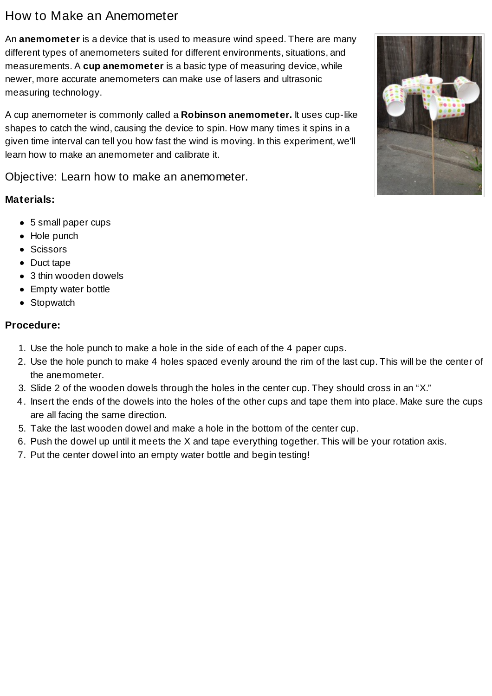# How to Make an Anemometer

An **anemometer** is a device that is used to measure wind speed. There are many different types of anemometers suited for different environments, situations, and measurements. A **cup anemometer** is a basic type of measuring device, while newer, more accurate anemometers can make use of lasers and ultrasonic measuring technology.

A cup anemometer is commonly called a **Robinson anemometer.** It uses cup-like shapes to catch the wind, causing the device to spin. How many times it spins in a given time interval can tell you how fast the wind is moving. In this experiment, we'll learn how to make an anemometer and calibrate it.

Objective: Learn how to make an anemometer.

# **Materials:**

- 5 small paper cups
- Hole punch
- Scissors
- Duct tape
- 3 thin wooden dowels
- Empty water bottle
- Stopwatch

#### **Procedure:**

- 1. Use the hole punch to make a hole in the side of each of the 4 paper cups.
- 2. Use the hole punch to make 4 holes spaced evenly around the rim of the last cup. This will be the center of the anemometer.
- 3. Slide 2 of the wooden dowels through the holes in the center cup. They should cross in an "X."
- 4. Insert the ends of the dowels into the holes of the other cups and tape them into place. Make sure the cups are all facing the same direction.
- 5. Take the last wooden dowel and make a hole in the bottom of the center cup.
- 6. Push the dowel up until it meets the X and tape everything together. This will be your rotation axis.
- 7. Put the center dowel into an empty water bottle and begin testing!

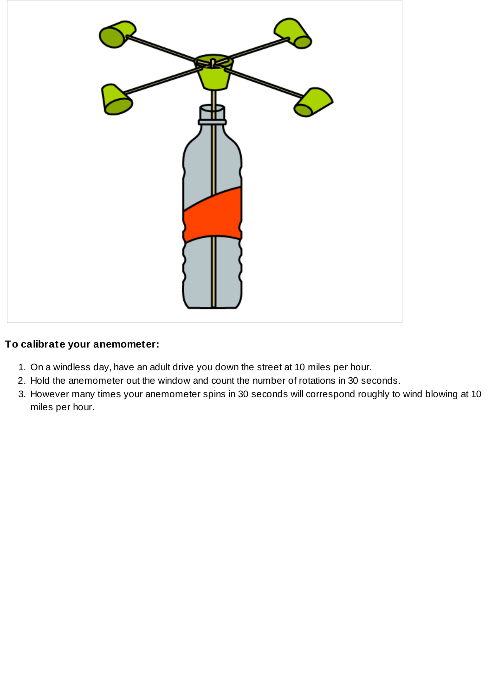

#### **To calibrate your anemometer:**

- 1. On a windless day, have an adult drive you down the street at 10 miles per hour.
- 2. Hold the anemometer out the window and count the number of rotations in 30 seconds.
- 3. However many times your anemometer spins in 30 seconds will correspond roughly to wind blowing at 10 miles per hour.